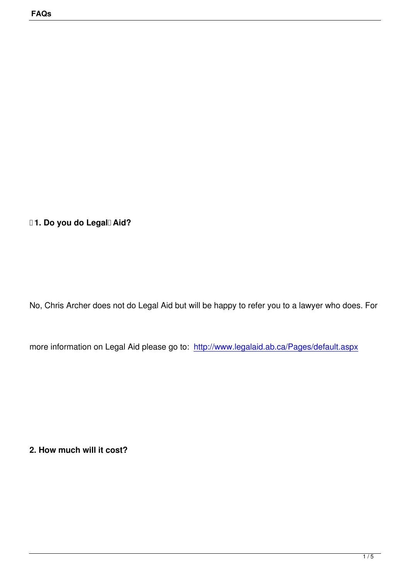**1. Do you do Legal Aid?** 

No, Chris Archer does not do Legal Aid but will be happy to refer you to a lawyer who does. For

more information on Legal Aid please go to: http://www.legalaid.ab.ca/Pages/default.aspx

**2. How much will it cost?**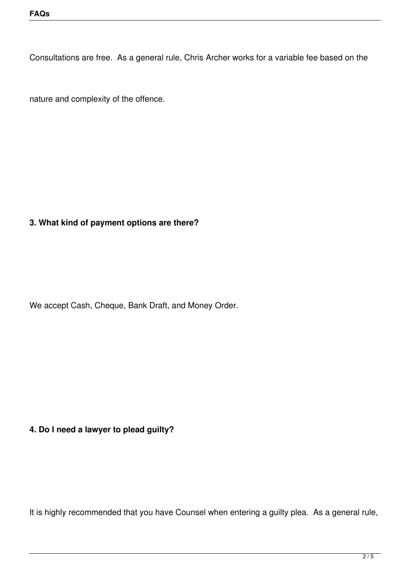Consultations are free. As a general rule, Chris Archer works for a variable fee based on the

nature and complexity of the offence.

## **3. What kind of payment options are there?**

We accept Cash, Cheque, Bank Draft, and Money Order.

## **4. Do I need a lawyer to plead guilty?**

It is highly recommended that you have Counsel when entering a guilty plea. As a general rule,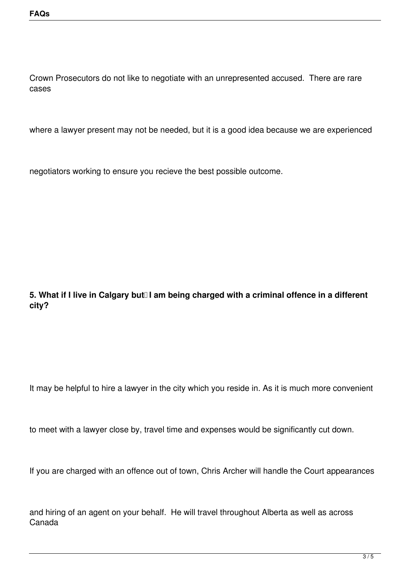Crown Prosecutors do not like to negotiate with an unrepresented accused. There are rare cases

where a lawyer present may not be needed, but it is a good idea because we are experienced

negotiators working to ensure you recieve the best possible outcome.

## 5. What if I live in Calgary but<sup>[]</sup> I am being charged with a criminal offence in a different **city?**

It may be helpful to hire a lawyer in the city which you reside in. As it is much more convenient

to meet with a lawyer close by, travel time and expenses would be significantly cut down.

If you are charged with an offence out of town, Chris Archer will handle the Court appearances

and hiring of an agent on your behalf. He will travel throughout Alberta as well as across Canada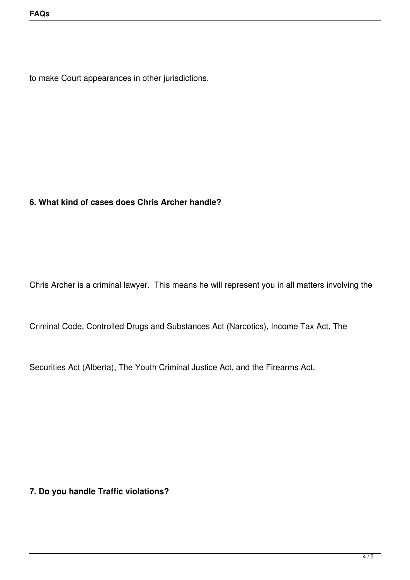to make Court appearances in other jurisdictions.

## **6. What kind of cases does Chris Archer handle?**

Chris Archer is a criminal lawyer. This means he will represent you in all matters involving the

Criminal Code, Controlled Drugs and Substances Act (Narcotics), Income Tax Act, The

Securities Act (Alberta), The Youth Criminal Justice Act, and the Firearms Act.

**7. Do you handle Traffic violations?**